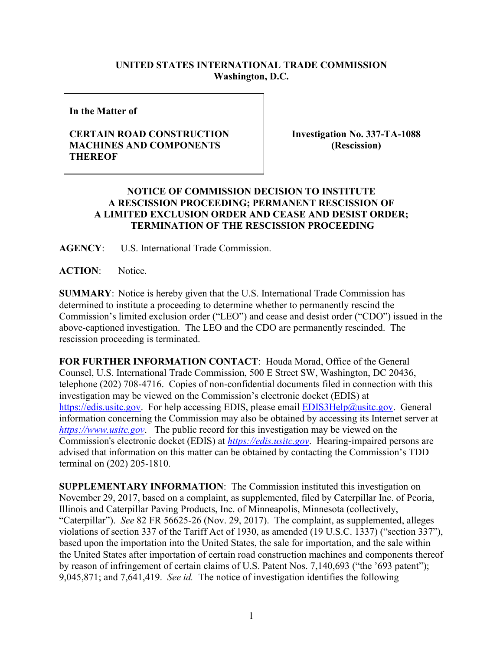## **UNITED STATES INTERNATIONAL TRADE COMMISSION Washington, D.C.**

**In the Matter of**

## **CERTAIN ROAD CONSTRUCTION MACHINES AND COMPONENTS THEREOF**

**Investigation No. 337-TA-1088 (Rescission)**

## **NOTICE OF COMMISSION DECISION TO INSTITUTE A RESCISSION PROCEEDING; PERMANENT RESCISSION OF A LIMITED EXCLUSION ORDER AND CEASE AND DESIST ORDER; TERMINATION OF THE RESCISSION PROCEEDING**

**AGENCY**: U.S. International Trade Commission.

**ACTION**: Notice.

**SUMMARY**: Notice is hereby given that the U.S. International Trade Commission has determined to institute a proceeding to determine whether to permanently rescind the Commission's limited exclusion order ("LEO") and cease and desist order ("CDO") issued in the above-captioned investigation. The LEO and the CDO are permanently rescinded. The rescission proceeding is terminated.

**FOR FURTHER INFORMATION CONTACT**: Houda Morad, Office of the General Counsel, U.S. International Trade Commission, 500 E Street SW, Washington, DC 20436, telephone (202) 708-4716. Copies of non-confidential documents filed in connection with this investigation may be viewed on the Commission's electronic docket (EDIS) at [https://edis.usitc.gov.](https://edis.usitc.gov/) For help accessing EDIS, please email [EDIS3Help@usitc.gov.](mailto:EDIS3Help@usitc.gov) General information concerning the Commission may also be obtained by accessing its Internet server at *[https://www.usitc.gov](https://www.usitc.gov/)*. The public record for this investigation may be viewed on the Commission's electronic docket (EDIS) at *[https://edis.usitc.gov](https://edis.usitc.gov/)*. Hearing-impaired persons are advised that information on this matter can be obtained by contacting the Commission's TDD terminal on (202) 205-1810.

**SUPPLEMENTARY INFORMATION**: The Commission instituted this investigation on November 29, 2017, based on a complaint, as supplemented, filed by Caterpillar Inc. of Peoria, Illinois and Caterpillar Paving Products, Inc. of Minneapolis, Minnesota (collectively, "Caterpillar"). *See* 82 FR 56625-26 (Nov. 29, 2017). The complaint, as supplemented, alleges violations of section 337 of the Tariff Act of 1930, as amended (19 U.S.C. 1337) ("section 337"), based upon the importation into the United States, the sale for importation, and the sale within the United States after importation of certain road construction machines and components thereof by reason of infringement of certain claims of U.S. Patent Nos. 7,140,693 ("the '693 patent"); 9,045,871; and 7,641,419. *See id.* The notice of investigation identifies the following